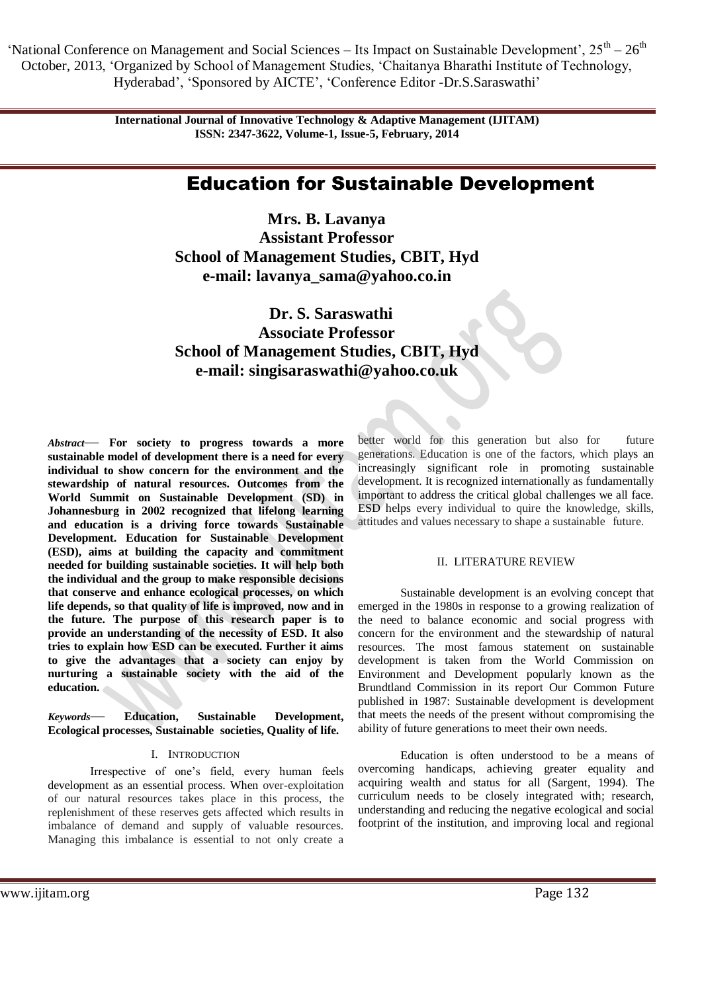'National Conference on Management and Social Sciences – Its Impact on Sustainable Development',  $25^{th} - 26^{th}$ October, 2013, ‗Organized by School of Management Studies, ‗Chaitanya Bharathi Institute of Technology, Hyderabad', 'Sponsored by AICTE', 'Conference Editor -Dr.S.Saraswathi'

> **International Journal of Innovative Technology & Adaptive Management (IJITAM) ISSN: 2347-3622, Volume-1, Issue-5, February, 2014**

# Education for Sustainable Development

**Mrs. B. Lavanya Assistant Professor School of Management Studies, CBIT, Hyd e-mail: lavanya\_sama@yahoo.co.in**

 **Dr. S. Saraswathi Associate Professor School of Management Studies, CBIT, Hyd e-mail: singisaraswathi@yahoo.co.uk**

*Abstract*— **For society to progress towards a more sustainable model of development there is a need for every individual to show concern for the environment and the stewardship of natural resources. Outcomes from the World Summit on Sustainable Development (SD) in Johannesburg in 2002 recognized that lifelong learning and education is a driving force towards Sustainable Development. Education for Sustainable Development (ESD), aims at building the capacity and commitment needed for building sustainable societies. It will help both the individual and the group to make responsible decisions that conserve and enhance ecological processes, on which life depends, so that quality of life is improved, now and in the future. The purpose of this research paper is to provide an understanding of the necessity of ESD. It also tries to explain how ESD can be executed. Further it aims to give the advantages that a society can enjoy by nurturing a sustainable society with the aid of the education.**

*Keywords*— **Education, Sustainable Development, Ecological processes, Sustainable societies, Quality of life.**

### I. INTRODUCTION

Irrespective of one's field, every human feels development as an essential process. When over-exploitation of our natural resources takes place in this process, the replenishment of these reserves gets affected which results in imbalance of demand and supply of valuable resources. Managing this imbalance is essential to not only create a

better world for this generation but also for future generations. Education is one of the factors, which plays an increasingly significant role in promoting sustainable development. It is recognized internationally as fundamentally important to address the critical global challenges we all face. ESD helps every individual to quire the knowledge, skills, attitudes and values necessary to shape a sustainable future.

#### II. LITERATURE REVIEW

Sustainable development is an evolving concept that emerged in the 1980s in response to a growing realization of the need to balance economic and social progress with concern for the environment and the stewardship of natural resources. The most famous statement on sustainable development is taken from the World Commission on Environment and Development popularly known as the Brundtland Commission in its report Our Common Future published in 1987: Sustainable development is development that meets the needs of the present without compromising the ability of future generations to meet their own needs.

Education is often understood to be a means of overcoming handicaps, achieving greater equality and acquiring wealth and status for all (Sargent, 1994). The curriculum needs to be closely integrated with; research, understanding and reducing the negative ecological and social footprint of the institution, and improving local and regional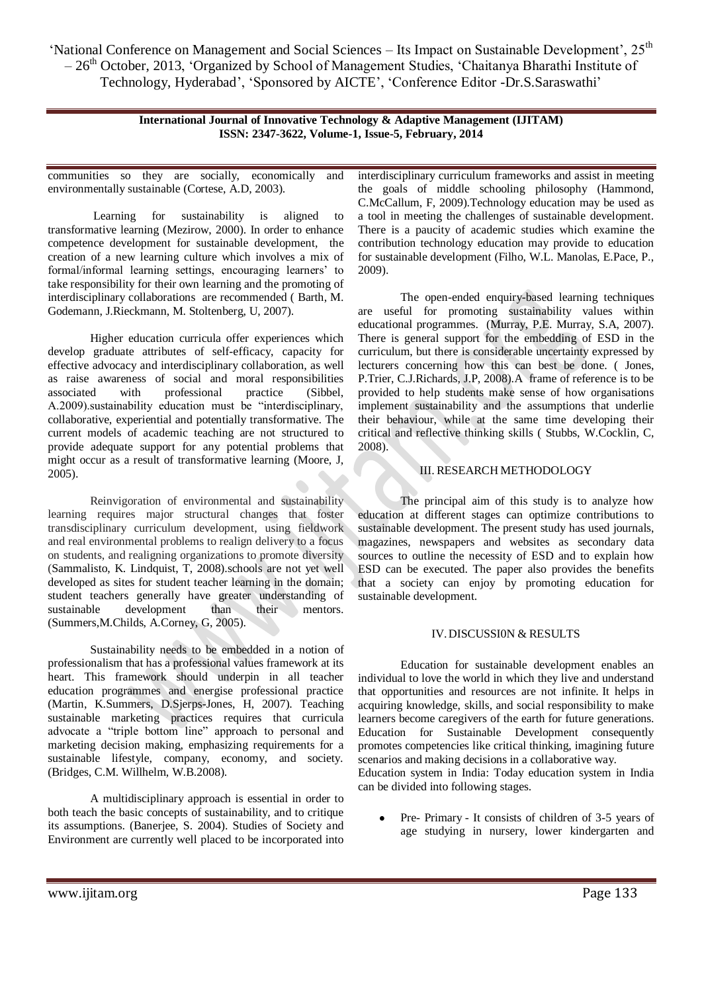'National Conference on Management and Social Sciences – Its Impact on Sustainable Development', 25<sup>th</sup>  $-26<sup>th</sup>$  October, 2013, 'Organized by School of Management Studies, 'Chaitanya Bharathi Institute of Technology, Hyderabad', ‗Sponsored by AICTE', ‗Conference Editor -Dr.S.Saraswathi'

> **International Journal of Innovative Technology & Adaptive Management (IJITAM) ISSN: 2347-3622, Volume-1, Issue-5, February, 2014**

communities so they are socially, economically and environmentally sustainable (Cortese, A.D, 2003).

Learning for sustainability is aligned to transformative learning (Mezirow, 2000). In order to enhance competence development for sustainable development, the creation of a new learning culture which involves a mix of formal/informal learning settings, encouraging learners' to take responsibility for their own learning and the promoting of interdisciplinary collaborations are recommended ( Barth, M. Godemann, J.Rieckmann, M. Stoltenberg, U, 2007).

Higher education curricula offer experiences which develop graduate attributes of self-efficacy, capacity for effective advocacy and interdisciplinary collaboration, as well as raise awareness of social and moral responsibilities associated with professional practice (Sibbel, A.2009).sustainability education must be "interdisciplinary, collaborative, experiential and potentially transformative. The current models of academic teaching are not structured to provide adequate support for any potential problems that might occur as a result of transformative learning (Moore, J, 2005).

Reinvigoration of environmental and sustainability learning requires major structural changes that foster transdisciplinary curriculum development, using fieldwork and real environmental problems to realign delivery to a focus on students, and realigning organizations to promote diversity (Sammalisto, K. Lindquist, T, 2008).schools are not yet well developed as sites for student teacher learning in the domain; student teachers generally have greater understanding of sustainable development than their mentors. (Summers,M.Childs, A.Corney, G, 2005).

Sustainability needs to be embedded in a notion of professionalism that has a professional values framework at its heart. This framework should underpin in all teacher education programmes and energise professional practice (Martin, K.Summers, D.Sjerps-Jones, H, 2007). Teaching sustainable marketing practices requires that curricula advocate a "triple bottom line" approach to personal and marketing decision making, emphasizing requirements for a sustainable lifestyle, company, economy, and society. (Bridges, C.M. Willhelm, W.B.2008).

A multidisciplinary approach is essential in order to both teach the basic concepts of sustainability, and to critique its assumptions. (Banerjee, S. 2004). Studies of Society and Environment are currently well placed to be incorporated into

interdisciplinary curriculum frameworks and assist in meeting the goals of middle schooling philosophy (Hammond, C.McCallum, F, 2009).Technology education may be used as a tool in meeting the challenges of sustainable development. There is a paucity of academic studies which examine the contribution technology education may provide to education for sustainable development (Filho, W.L. Manolas, E.Pace, P., 2009).

The open-ended enquiry-based learning techniques are useful for promoting sustainability values within educational programmes. (Murray, P.E. Murray, S.A, 2007). There is general support for the embedding of ESD in the curriculum, but there is considerable uncertainty expressed by lecturers concerning how this can best be done. ( Jones, P.Trier, C.J.Richards, J.P, 2008).A frame of reference is to be provided to help students make sense of how organisations implement sustainability and the assumptions that underlie their behaviour, while at the same time developing their critical and reflective thinking skills ( Stubbs, W.Cocklin, C, 2008).

# III. RESEARCH METHODOLOGY

The principal aim of this study is to analyze how education at different stages can optimize contributions to sustainable development. The present study has used journals, magazines, newspapers and websites as secondary data sources to outline the necessity of ESD and to explain how ESD can be executed. The paper also provides the benefits that a society can enjoy by promoting education for sustainable development.

## IV.DISCUSSI0N & RESULTS

Education for sustainable development enables an individual to love the world in which they live and understand that opportunities and resources are not infinite. It helps in acquiring knowledge, skills, and social responsibility to make learners become caregivers of the earth for future generations. Education for Sustainable Development consequently promotes competencies like critical thinking, imagining future scenarios and making decisions in a collaborative way.

Education system in India: Today education system in India can be divided into following stages.

Pre- Primary - It consists of children of 3-5 years of age studying in nursery, lower kindergarten and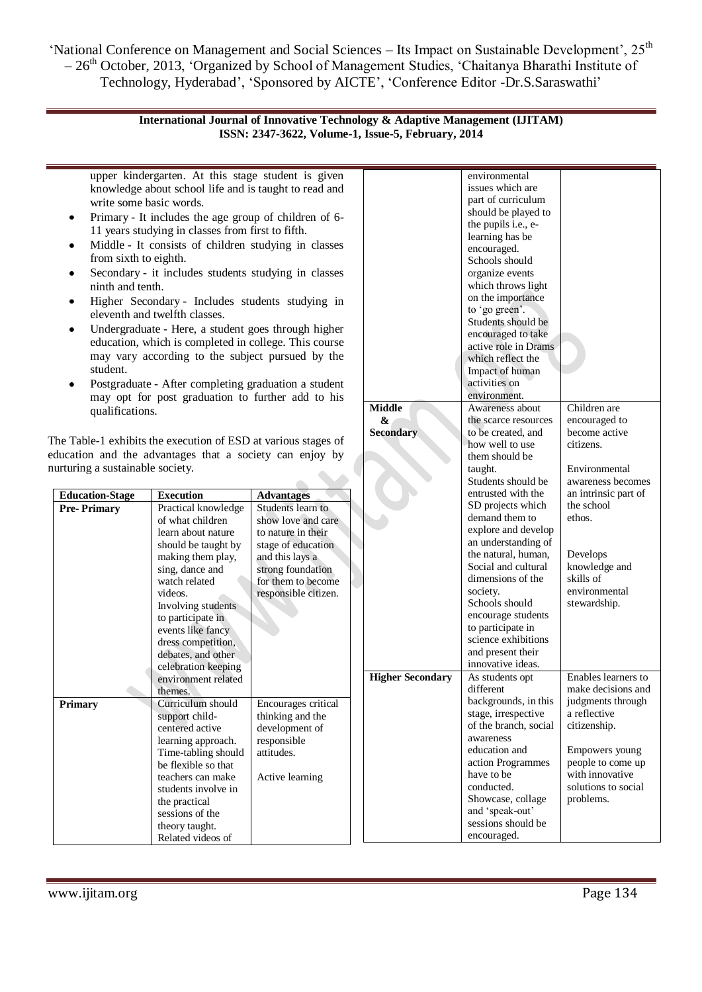'National Conference on Management and Social Sciences – Its Impact on Sustainable Development', 25<sup>th</sup> – 26th October, 2013, ‗Organized by School of Management Studies, ‗Chaitanya Bharathi Institute of Technology, Hyderabad', 'Sponsored by AICTE', 'Conference Editor -Dr.S.Saraswathi'

## **International Journal of Innovative Technology & Adaptive Management (IJITAM) ISSN: 2347-3622, Volume-1, Issue-5, February, 2014**

| $\bullet$<br>from sixth to eighth.<br>ninth and tenth.<br>٠<br>student.<br>qualifications.                                                                     | upper kindergarten. At this stage student is given<br>knowledge about school life and is taught to read and<br>write some basic words.<br>Primary - It includes the age group of children of 6-<br>11 years studying in classes from first to fifth.<br>Middle - It consists of children studying in classes<br>Secondary - it includes students studying in classes<br>Higher Secondary - Includes students studying in<br>eleventh and twelfth classes.<br>Undergraduate - Here, a student goes through higher<br>education, which is completed in college. This course<br>may vary according to the subject pursued by the<br>Postgraduate - After completing graduation a student<br>may opt for post graduation to further add to his |                                                                                                           | <b>Middle</b><br>&      | environmental<br>issues which are<br>part of curriculum<br>should be played to<br>the pupils i.e., e-<br>learning has be<br>encouraged.<br>Schools should<br>organize events<br>which throws light<br>on the importance<br>to 'go green'.<br>Students should be<br>encouraged to take<br>active role in Drams<br>which reflect the<br>Impact of human<br>activities on<br>environment.<br>Awareness about<br>the scarce resources | Children are<br>encouraged to                                                                                                                                         |
|----------------------------------------------------------------------------------------------------------------------------------------------------------------|--------------------------------------------------------------------------------------------------------------------------------------------------------------------------------------------------------------------------------------------------------------------------------------------------------------------------------------------------------------------------------------------------------------------------------------------------------------------------------------------------------------------------------------------------------------------------------------------------------------------------------------------------------------------------------------------------------------------------------------------|-----------------------------------------------------------------------------------------------------------|-------------------------|-----------------------------------------------------------------------------------------------------------------------------------------------------------------------------------------------------------------------------------------------------------------------------------------------------------------------------------------------------------------------------------------------------------------------------------|-----------------------------------------------------------------------------------------------------------------------------------------------------------------------|
| The Table-1 exhibits the execution of ESD at various stages of<br>education and the advantages that a society can enjoy by<br>nurturing a sustainable society. |                                                                                                                                                                                                                                                                                                                                                                                                                                                                                                                                                                                                                                                                                                                                            |                                                                                                           | <b>Secondary</b>        | to be created, and<br>how well to use<br>them should be<br>taught.<br>Students should be                                                                                                                                                                                                                                                                                                                                          | become active<br>citizens.<br>Environmental<br>awareness becomes                                                                                                      |
| <b>Education-Stage</b>                                                                                                                                         | <b>Execution</b>                                                                                                                                                                                                                                                                                                                                                                                                                                                                                                                                                                                                                                                                                                                           | <b>Advantages</b>                                                                                         |                         | entrusted with the                                                                                                                                                                                                                                                                                                                                                                                                                | an intrinsic part of                                                                                                                                                  |
| <b>Pre-Primary</b>                                                                                                                                             | Practical knowledge<br>of what children<br>learn about nature<br>should be taught by                                                                                                                                                                                                                                                                                                                                                                                                                                                                                                                                                                                                                                                       | Students learn to<br>show love and care<br>to nature in their<br>stage of education                       |                         | SD projects which<br>demand them to<br>explore and develop<br>an understanding of                                                                                                                                                                                                                                                                                                                                                 | the school<br>ethos.                                                                                                                                                  |
|                                                                                                                                                                | making them play,<br>sing, dance and<br>watch related<br>videos.<br>Involving students<br>to participate in<br>events like fancy<br>dress competition,<br>debates, and other<br>celebration keeping                                                                                                                                                                                                                                                                                                                                                                                                                                                                                                                                        | and this lays a<br>strong foundation<br>for them to become<br>responsible citizen.                        |                         | the natural, human,<br>Social and cultural<br>dimensions of the<br>society.<br>Schools should<br>encourage students<br>to participate in<br>science exhibitions<br>and present their<br>innovative ideas.                                                                                                                                                                                                                         | Develops<br>knowledge and<br>skills of<br>environmental<br>stewardship.                                                                                               |
|                                                                                                                                                                | environment related                                                                                                                                                                                                                                                                                                                                                                                                                                                                                                                                                                                                                                                                                                                        |                                                                                                           | <b>Higher Secondary</b> | As students opt                                                                                                                                                                                                                                                                                                                                                                                                                   | Enables learners to                                                                                                                                                   |
| <b>Primary</b>                                                                                                                                                 | themes.<br>Curriculum should<br>support child-<br>centered active<br>learning approach.<br>Time-tabling should<br>be flexible so that<br>teachers can make<br>students involve in<br>the practical<br>sessions of the<br>theory taught.                                                                                                                                                                                                                                                                                                                                                                                                                                                                                                    | Encourages critical<br>thinking and the<br>development of<br>responsible<br>attitudes.<br>Active learning |                         | different<br>backgrounds, in this<br>stage, irrespective<br>of the branch, social<br>awareness<br>education and<br>action Programmes<br>have to be<br>conducted.<br>Showcase, collage<br>and 'speak-out'<br>sessions should be                                                                                                                                                                                                    | make decisions and<br>judgments through<br>a reflective<br>citizenship.<br>Empowers young<br>people to come up<br>with innovative<br>solutions to social<br>problems. |
|                                                                                                                                                                | Related videos of                                                                                                                                                                                                                                                                                                                                                                                                                                                                                                                                                                                                                                                                                                                          |                                                                                                           |                         | encouraged.                                                                                                                                                                                                                                                                                                                                                                                                                       |                                                                                                                                                                       |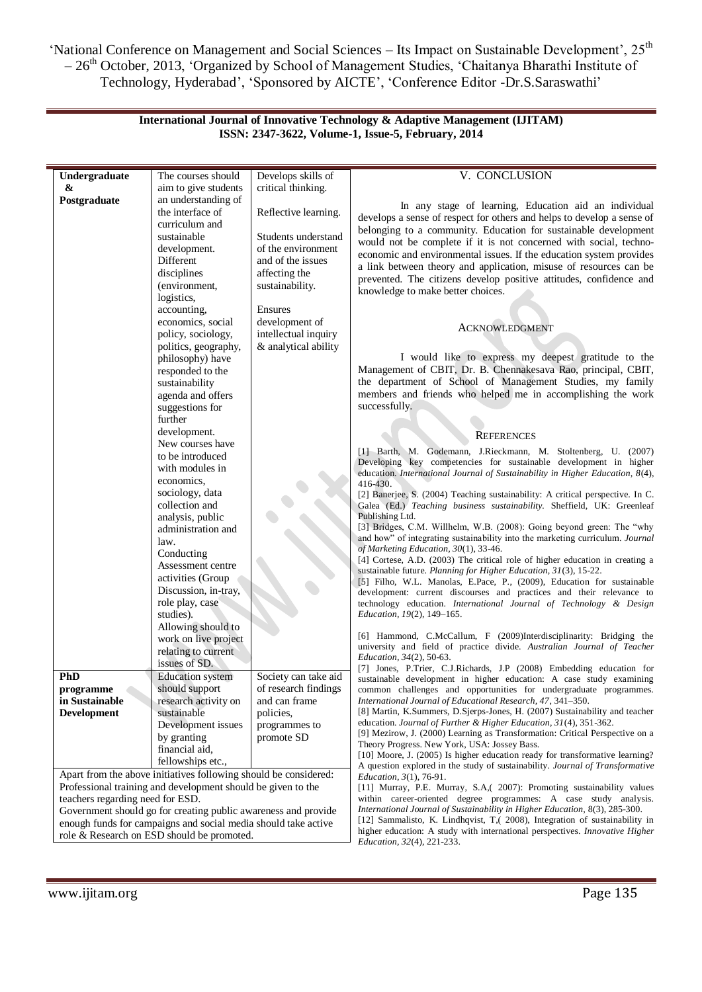'National Conference on Management and Social Sciences – Its Impact on Sustainable Development', 25<sup>th</sup> – 26<sup>th</sup> October, 2013, 'Organized by School of Management Studies, 'Chaitanya Bharathi Institute of Technology, Hyderabad', 'Sponsored by AICTE', 'Conference Editor -Dr.S.Saraswathi'

> **International Journal of Innovative Technology & Adaptive Management (IJITAM) ISSN: 2347-3622, Volume-1, Issue-5, February, 2014**

| Undergraduate                                                                                                                                                                                                                                                                                                                                          | The courses should                                                                                                                                                                                                                                                                                                                                | Develops skills of                                                                                                                    | V. CONCLUSION                                                                                                                                                                                                                                                                                                                                                                                                                                                                                                                                                                                                                                                                                                                                                                                                                                                                                                                                                                                                                                                                                                                                                                                                           |  |
|--------------------------------------------------------------------------------------------------------------------------------------------------------------------------------------------------------------------------------------------------------------------------------------------------------------------------------------------------------|---------------------------------------------------------------------------------------------------------------------------------------------------------------------------------------------------------------------------------------------------------------------------------------------------------------------------------------------------|---------------------------------------------------------------------------------------------------------------------------------------|-------------------------------------------------------------------------------------------------------------------------------------------------------------------------------------------------------------------------------------------------------------------------------------------------------------------------------------------------------------------------------------------------------------------------------------------------------------------------------------------------------------------------------------------------------------------------------------------------------------------------------------------------------------------------------------------------------------------------------------------------------------------------------------------------------------------------------------------------------------------------------------------------------------------------------------------------------------------------------------------------------------------------------------------------------------------------------------------------------------------------------------------------------------------------------------------------------------------------|--|
| &                                                                                                                                                                                                                                                                                                                                                      | aim to give students                                                                                                                                                                                                                                                                                                                              | critical thinking.                                                                                                                    |                                                                                                                                                                                                                                                                                                                                                                                                                                                                                                                                                                                                                                                                                                                                                                                                                                                                                                                                                                                                                                                                                                                                                                                                                         |  |
| Postgraduate                                                                                                                                                                                                                                                                                                                                           | an understanding of                                                                                                                                                                                                                                                                                                                               |                                                                                                                                       |                                                                                                                                                                                                                                                                                                                                                                                                                                                                                                                                                                                                                                                                                                                                                                                                                                                                                                                                                                                                                                                                                                                                                                                                                         |  |
|                                                                                                                                                                                                                                                                                                                                                        | the interface of<br>curriculum and<br>sustainable<br>development.<br>Different<br>disciplines<br>(environment,<br>logistics,<br>accounting,                                                                                                                                                                                                       | Reflective learning.<br>Students understand<br>of the environment<br>and of the issues<br>affecting the<br>sustainability.<br>Ensures | In any stage of learning, Education aid an individual<br>develops a sense of respect for others and helps to develop a sense of<br>belonging to a community. Education for sustainable development<br>would not be complete if it is not concerned with social, techno-<br>economic and environmental issues. If the education system provides<br>a link between theory and application, misuse of resources can be<br>prevented. The citizens develop positive attitudes, confidence and<br>knowledge to make better choices.                                                                                                                                                                                                                                                                                                                                                                                                                                                                                                                                                                                                                                                                                          |  |
|                                                                                                                                                                                                                                                                                                                                                        | economics, social<br>policy, sociology,<br>politics, geography,                                                                                                                                                                                                                                                                                   | development of<br>intellectual inquiry<br>& analytical ability                                                                        | <b>ACKNOWLEDGMENT</b>                                                                                                                                                                                                                                                                                                                                                                                                                                                                                                                                                                                                                                                                                                                                                                                                                                                                                                                                                                                                                                                                                                                                                                                                   |  |
|                                                                                                                                                                                                                                                                                                                                                        | philosophy) have<br>responded to the<br>sustainability<br>agenda and offers<br>suggestions for<br>further                                                                                                                                                                                                                                         |                                                                                                                                       | I would like to express my deepest gratitude to the<br>Management of CBIT, Dr. B. Chennakesava Rao, principal, CBIT,<br>the department of School of Management Studies, my family<br>members and friends who helped me in accomplishing the work<br>successfully.                                                                                                                                                                                                                                                                                                                                                                                                                                                                                                                                                                                                                                                                                                                                                                                                                                                                                                                                                       |  |
|                                                                                                                                                                                                                                                                                                                                                        | development.                                                                                                                                                                                                                                                                                                                                      |                                                                                                                                       | <b>REFERENCES</b>                                                                                                                                                                                                                                                                                                                                                                                                                                                                                                                                                                                                                                                                                                                                                                                                                                                                                                                                                                                                                                                                                                                                                                                                       |  |
|                                                                                                                                                                                                                                                                                                                                                        | New courses have<br>to be introduced<br>with modules in<br>economics,<br>sociology, data<br>collection and<br>analysis, public<br>administration and<br>law.<br>Conducting<br>Assessment centre<br>activities (Group<br>Discussion, in-tray,<br>role play, case<br>studies).<br>Allowing should to<br>work on live project<br>relating to current |                                                                                                                                       | [1] Barth, M. Godemann, J.Rieckmann, M. Stoltenberg, U. (2007)<br>Developing key competencies for sustainable development in higher<br>education. International Journal of Sustainability in Higher Education, 8(4),<br>416-430.<br>[2] Banerjee, S. (2004) Teaching sustainability: A critical perspective. In C.<br>Galea (Ed.) Teaching business sustainability. Sheffield, UK: Greenleaf<br>Publishing Ltd.<br>[3] Bridges, C.M. Willhelm, W.B. (2008): Going beyond green: The "why<br>and how" of integrating sustainability into the marketing curriculum. Journal<br>of Marketing Education, 30(1), 33-46.<br>[4] Cortese, A.D. (2003) The critical role of higher education in creating a<br>sustainable future. Planning for Higher Education, 31(3), 15-22.<br>[5] Filho, W.L. Manolas, E.Pace, P., (2009), Education for sustainable<br>development: current discourses and practices and their relevance to<br>technology education. International Journal of Technology & Design<br><i>Education, 19(2), 149–165.</i><br>[6] Hammond, C.McCallum, F (2009)Interdisciplinarity: Bridging the<br>university and field of practice divide. Australian Journal of Teacher<br><i>Education</i> , 34(2), 50-63. |  |
| PhD<br>programme<br>in Sustainable<br>Development                                                                                                                                                                                                                                                                                                      | issues of SD.<br><b>Education</b> system<br>should support<br>research activity on<br>sustainable<br>Development issues<br>by granting<br>financial aid,<br>fellowships etc.,                                                                                                                                                                     | Society can take aid<br>of research findings<br>and can frame<br>policies,<br>programmes to<br>promote SD                             | [7] Jones, P.Trier, C.J.Richards, J.P (2008) Embedding education for<br>sustainable development in higher education: A case study examining<br>common challenges and opportunities for undergraduate programmes.<br>International Journal of Educational Research, 47, 341-350.<br>[8] Martin, K.Summers, D.Sjerps-Jones, H. (2007) Sustainability and teacher<br>education. Journal of Further & Higher Education, 31(4), 351-362.<br>[9] Mezirow, J. (2000) Learning as Transformation: Critical Perspective on a<br>Theory Progress. New York, USA: Jossey Bass.<br>[10] Moore, J. (2005) Is higher education ready for transformative learning?                                                                                                                                                                                                                                                                                                                                                                                                                                                                                                                                                                     |  |
| Apart from the above initiatives following should be considered:<br>Professional training and development should be given to the<br>teachers regarding need for ESD.<br>Government should go for creating public awareness and provide<br>enough funds for campaigns and social media should take active<br>role & Research on ESD should be promoted. |                                                                                                                                                                                                                                                                                                                                                   |                                                                                                                                       | A question explored in the study of sustainability. Journal of Transformative<br><i>Education, 3(1), 76-91.</i><br>[11] Murray, P.E. Murray, S.A, (2007): Promoting sustainability values<br>within career-oriented degree programmes: A case study analysis.<br>International Journal of Sustainability in Higher Education, 8(3), 285-300.<br>[12] Sammalisto, K. Lindhqvist, T. (2008), Integration of sustainability in<br>higher education: A study with international perspectives. <i>Innovative Higher</i><br><i>Education, 32(4), 221-233.</i>                                                                                                                                                                                                                                                                                                                                                                                                                                                                                                                                                                                                                                                                 |  |